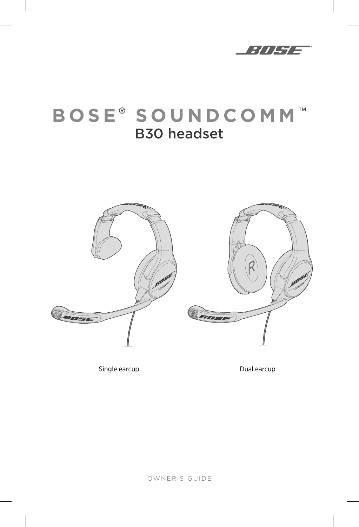

# **BOSE® SOUNDCOMM** B30 headset



Single earcup and the Dual earcup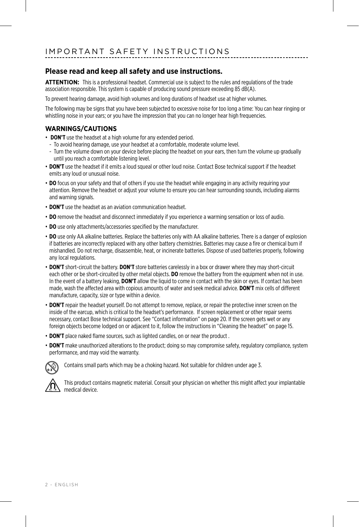#### **Please read and keep all safety and use instructions.**

ATTENTION: This is a professional headset. Commercial use is subject to the rules and regulations of the trade association responsible. This system is capable of producing sound pressure exceeding 85 dB(A).

To prevent hearing damage, avoid high volumes and long durations of headset use at higher volumes.

The following may be signs that you have been subjected to excessive noise for too long a time: You can hear ringing or whistling noise in your ears; or you have the impression that you can no longer hear high frequencies.

#### **WARNINGS/CAUTIONS**

- **DON'T** use the headset at a high volume for any extended period.
	- To avoid hearing damage, use your headset at a comfortable, moderate volume level.
	- Turn the volume down on your device before placing the headset on your ears, then turn the volume up gradually until you reach a comfortable listening level.
- **DON'T** use the headset if it emits a loud squeal or other loud noise. Contact Bose technical support if the headset emits any loud or unusual noise.
- **DO** focus on your safety and that of others if you use the headset while engaging in any activity requiring your attention. Remove the headset or adjust your volume to ensure you can hear surrounding sounds, including alarms and warning signals.
- **DON'T** use the headset as an aviation communication headset.
- **DO** remove the headset and disconnect immediately if you experience a warming sensation or loss of audio.
- **DO** use only attachments/accessories specified by the manufacturer.
- **DO** use only AA alkaline batteries. Replace the batteries only with AA alkaline batteries. There is a danger of explosion if batteries are incorrectly replaced with any other battery chemistries. Batteries may cause a fire or chemical burn if mishandled. Do not recharge, disassemble, heat, or incinerate batteries. Dispose of used batteries properly, following any local regulations.
- **DON'T** short-circuit the battery. **DON'T** store batteries carelessly in a box or drawer where they may short-circuit each other or be short-circuited by other metal objects. **DO** remove the battery from the equipment when not in use. In the event of a battery leaking, **DON'T** allow the liquid to come in contact with the skin or eyes. If contact has been made, wash the affected area with copious amounts of water and seek medical advice. **DON'T** mix cells of different manufacture, capacity, size or type within a device.
- **DON'T** repair the headset yourself. Do not attempt to remove, replace, or repair the protective inner screen on the inside of the earcup, which is critical to the headset's performance. If screen replacement or other repair seems necessary, contact Bose technical support. See ["Contact information" on page 20](#page-19-0). If the screen gets wet or any foreign objects become lodged on or adjacent to it, follow the instructions in ["Cleaning the headset" on page 15](#page-14-0).
- **DON'T** place naked flame sources, such as lighted candles, on or near the product .
- **DON'T** make unauthorized alterations to the product; doing so may compromise safety, regulatory compliance, system performance, and may void the warranty.



Contains small parts which may be a choking hazard. Not suitable for children under age 3.



This product contains magnetic material. Consult your physician on whether this might affect your implantable medical device.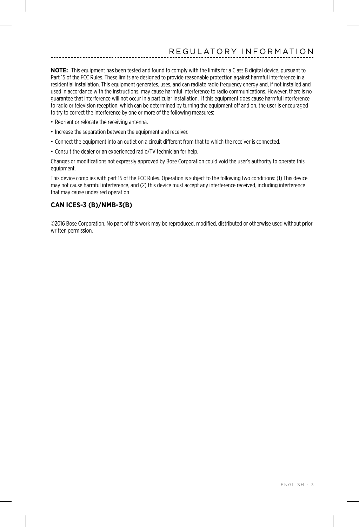**NOTE:** This equipment has been tested and found to comply with the limits for a Class B digital device, pursuant to Part 15 of the FCC Rules. These limits are designed to provide reasonable protection against harmful interference in a residential installation. This equipment generates, uses, and can radiate radio frequency energy and, if not installed and used in accordance with the instructions, may cause harmful interference to radio communications. However, there is no guarantee that interference will not occur in a particular installation. If this equipment does cause harmful interference to radio or television reception, which can be determined by turning the equipment off and on, the user is encouraged to try to correct the interference by one or more of the following measures:

- Reorient or relocate the receiving antenna.
- Increase the separation between the equipment and receiver.
- Connect the equipment into an outlet on a circuit different from that to which the receiver is connected.
- Consult the dealer or an experienced radio/TV technician for help.

Changes or modifications not expressly approved by Bose Corporation could void the user's authority to operate this equipment.

This device complies with part 15 of the FCC Rules. Operation is subject to the following two conditions: (1) This device may not cause harmful interference, and (2) this device must accept any interference received, including interference that may cause undesired operation

#### **CAN ICES-3 (B)/NMB-3(B)**

©2016 Bose Corporation. No part of this work may be reproduced, modified, distributed or otherwise used without prior written permission.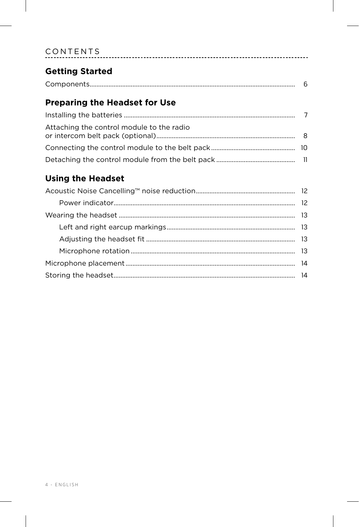| CONTENTS |  |  |  |  |  |  |  |  |  |  |  |  |  |  |  |  |  |  |  |  |  |  |  |  |  |  |  |  |
|----------|--|--|--|--|--|--|--|--|--|--|--|--|--|--|--|--|--|--|--|--|--|--|--|--|--|--|--|--|
|          |  |  |  |  |  |  |  |  |  |  |  |  |  |  |  |  |  |  |  |  |  |  |  |  |  |  |  |  |

### **Getting Started**

|--|--|

### **Preparing the Headset for Use**

| Attaching the control module to the radio |  |
|-------------------------------------------|--|
|                                           |  |
|                                           |  |

### **Using the Headset**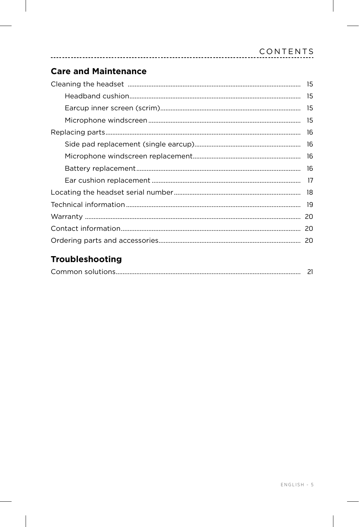#### **Care and Maintenance**

### Troubleshooting

|--|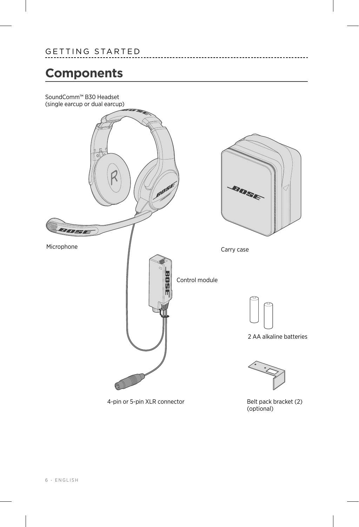## <span id="page-5-0"></span>**Components**

SoundComm™ B30 Headset (single earcup or dual earcup)

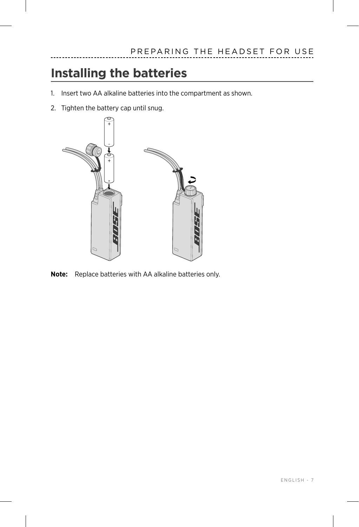# <span id="page-6-1"></span><span id="page-6-0"></span>**Installing the batteries**

- 1. Insert two AA alkaline batteries into the compartment as shown.
- 2. Tighten the battery cap until snug.



**Note:** Replace batteries with AA alkaline batteries only.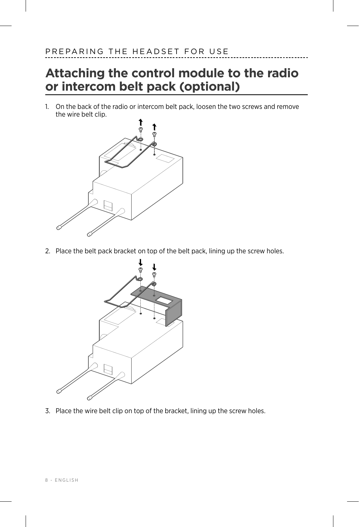## <span id="page-7-0"></span>**Attaching the control module to the radio or intercom belt pack (optional)**

1. On the back of the radio or intercom belt pack, loosen the two screws and remove the wire belt clip.



2. Place the belt pack bracket on top of the belt pack, lining up the screw holes.



3. Place the wire belt clip on top of the bracket, lining up the screw holes.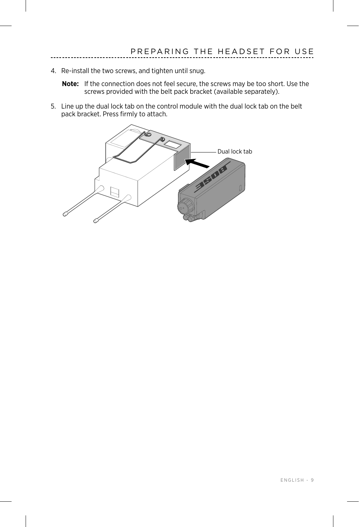- 4. Re-install the two screws, and tighten until snug.
	- **Note:** If the connection does not feel secure, the screws may be too short. Use the screws provided with the belt pack bracket (available separately).
- 5. Line up the dual lock tab on the control module with the dual lock tab on the belt pack bracket. Press firmly to attach.

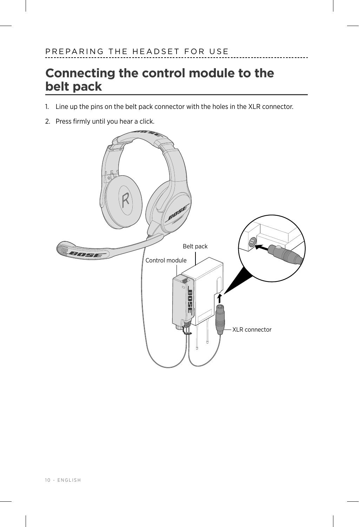## <span id="page-9-0"></span>**Connecting the control module to the belt pack**

- 1. Line up the pins on the belt pack connector with the holes in the XLR connector.
- 2. Press firmly until you hear a click.

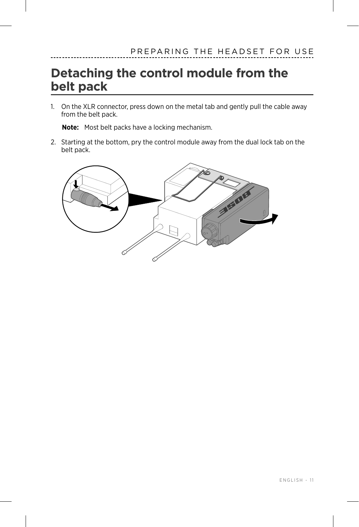### <span id="page-10-0"></span>**Detaching the control module from the belt pack**

1. On the XLR connector, press down on the metal tab and gently pull the cable away from the belt pack.

**Note:** Most belt packs have a locking mechanism.

2. Starting at the bottom, pry the control module away from the dual lock tab on the belt pack.

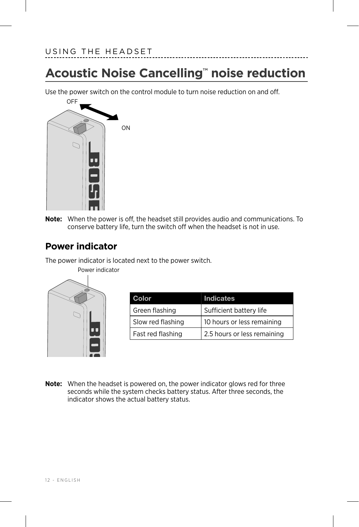# <span id="page-11-0"></span>**Acoustic Noise Cancelling™ noise reduction**

Use the power switch on the control module to turn noise reduction on and off.



**Note:** When the power is off, the headset still provides audio and communications. To conserve battery life, turn the switch off when the headset is not in use.

### **Power indicator**

The power indicator is located next to the power switch.



| <b>Color</b>      | <b>Indicates</b>            |
|-------------------|-----------------------------|
| Green flashing    | Sufficient battery life     |
| Slow red flashing | 10 hours or less remaining  |
| Fast red flashing | 2.5 hours or less remaining |

**Note:** When the headset is powered on, the power indicator glows red for three seconds while the system checks battery status. After three seconds, the indicator shows the actual battery status.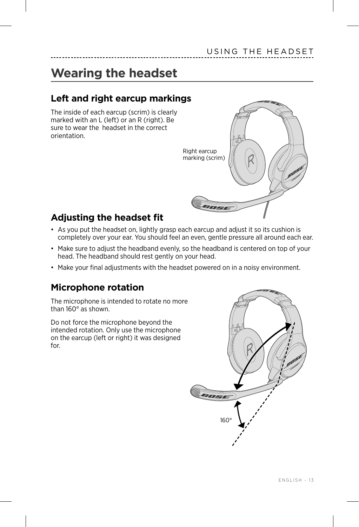# <span id="page-12-0"></span>**Wearing the headset**

### **Left and right earcup markings**

The inside of each earcup (scrim) is clearly marked with an L (left) or an R (right). Be sure to wear the headset in the correct orientation.



### <span id="page-12-1"></span>**Adjusting the headset fit**

- As you put the headset on, lightly grasp each earcup and adjust it so its cushion is completely over your ear. You should feel an even, gentle pressure all around each ear.
- Make sure to adjust the headband evenly, so the headband is centered on top of your head. The headband should rest gently on your head.
- Make your final adjustments with the headset powered on in a noisy environment.

### **Microphone rotation**

The microphone is intended to rotate no more than 160° as shown.

Do not force the microphone beyond the intended rotation. Only use the microphone on the earcup (left or right) it was designed for.

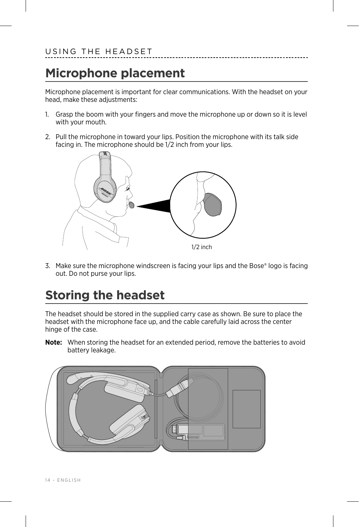# <span id="page-13-0"></span>**Microphone placement**

Microphone placement is important for clear communications. With the headset on your head, make these adjustments:

- 1. Grasp the boom with your fingers and move the microphone up or down so it is level with your mouth.
- 2. Pull the microphone in toward your lips. Position the microphone with its talk side facing in. The microphone should be 1/2 inch from your lips.



3. Make sure the microphone windscreen is facing your lips and the Bose® logo is facing out. Do not purse your lips.

## **Storing the headset**

The headset should be stored in the supplied carry case as shown. Be sure to place the headset with the microphone face up, and the cable carefully laid across the center hinge of the case.

**Note:** When storing the headset for an extended period, remove the batteries to avoid battery leakage.

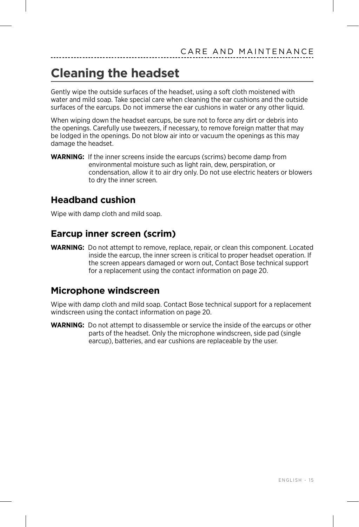# <span id="page-14-1"></span><span id="page-14-0"></span>**Cleaning the headset**

Gently wipe the outside surfaces of the headset, using a soft cloth moistened with water and mild soap. Take special care when cleaning the ear cushions and the outside surfaces of the earcups. Do not immerse the ear cushions in water or any other liquid.

When wiping down the headset earcups, be sure not to force any dirt or debris into the openings. Carefully use tweezers, if necessary, to remove foreign matter that may be lodged in the openings. Do not blow air into or vacuum the openings as this may damage the headset.

**WARNING:** If the inner screens inside the earcups (scrims) become damp from environmental moisture such as light rain, dew, perspiration, or condensation, allow it to air dry only. Do not use electric heaters or blowers to dry the inner screen.

### **Headband cushion**

Wipe with damp cloth and mild soap.

### **Earcup inner screen (scrim)**

**WARNING:** Do not attempt to remove, replace, repair, or clean this component. Located inside the earcup, the inner screen is critical to proper headset operation. If the screen appears damaged or worn out, Contact Bose technical support for a replacement using the contact information on [page 20](#page-19-0).

#### **Microphone windscreen**

Wipe with damp cloth and mild soap. Contact Bose technical support for a replacement windscreen using the contact information on [page 20.](#page-19-0)

**WARNING:** Do not attempt to disassemble or service the inside of the earcups or other parts of the headset. Only the microphone windscreen, side pad (single earcup), batteries, and ear cushions are replaceable by the user.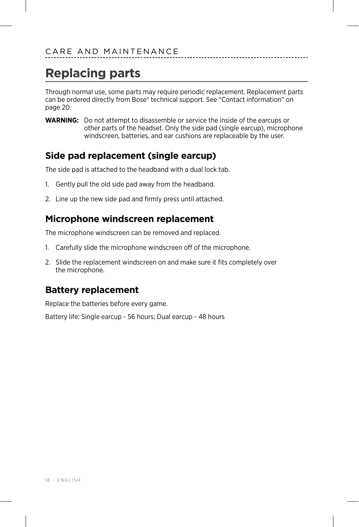## <span id="page-15-0"></span>**Replacing parts**

Through normal use, some parts may require periodic replacement. Replacement parts can be ordered directly from Bose® technical support. See ["Contact information" on](#page-19-0)  [page 20.](#page-19-0)

**WARNING:** Do not attempt to disassemble or service the inside of the earcups or other parts of the headset. Only the side pad (single earcup), microphone windscreen, batteries, and ear cushions are replaceable by the user.

### **Side pad replacement (single earcup)**

The side pad is attached to the headband with a dual lock tab.

- 1. Gently pull the old side pad away from the headband.
- 2. Line up the new side pad and firmly press until attached.

#### **Microphone windscreen replacement**

The microphone windscreen can be removed and replaced.

- 1. Carefully slide the microphone windscreen off of the microphone.
- 2. Slide the replacement windscreen on and make sure it fits completely over the microphone.

#### **Battery replacement**

Replace the batteries before every game.

Battery life: Single earcup - 56 hours; Dual earcup - 48 hours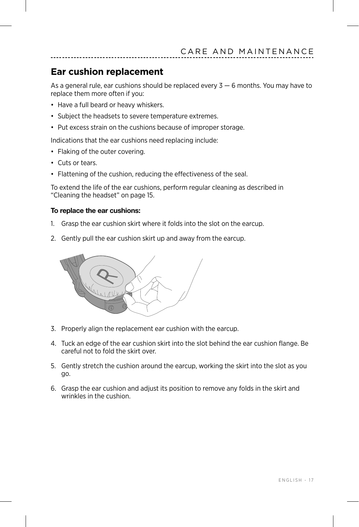### <span id="page-16-1"></span><span id="page-16-0"></span>**Ear cushion replacement**

As a general rule, ear cushions should be replaced every 3 — 6 months. You may have to replace them more often if you:

- Have a full beard or heavy whiskers.
- Subject the headsets to severe temperature extremes.
- Put excess strain on the cushions because of improper storage.

Indications that the ear cushions need replacing include:

- Flaking of the outer covering.
- Cuts or tears.
- Flattening of the cushion, reducing the effectiveness of the seal.

To extend the life of the ear cushions, perform regular cleaning as described in ["Cleaning the headset" on page 15](#page-14-0).

#### **To replace the ear cushions:**

- 1. Grasp the ear cushion skirt where it folds into the slot on the earcup.
- 2. Gently pull the ear cushion skirt up and away from the earcup.

![](_page_16_Picture_14.jpeg)

- 3. Properly align the replacement ear cushion with the earcup.
- 4. Tuck an edge of the ear cushion skirt into the slot behind the ear cushion flange. Be careful not to fold the skirt over.
- 5. Gently stretch the cushion around the earcup, working the skirt into the slot as you go.
- 6. Grasp the ear cushion and adjust its position to remove any folds in the skirt and wrinkles in the cushion.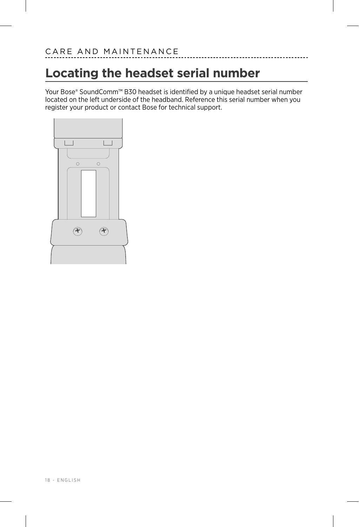# <span id="page-17-0"></span>**Locating the headset serial number**

Your Bose® SoundComm™ B30 headset is identified by a unique headset serial number located on the left underside of the headband. Reference this serial number when you register your product or contact Bose for technical support.

![](_page_17_Figure_3.jpeg)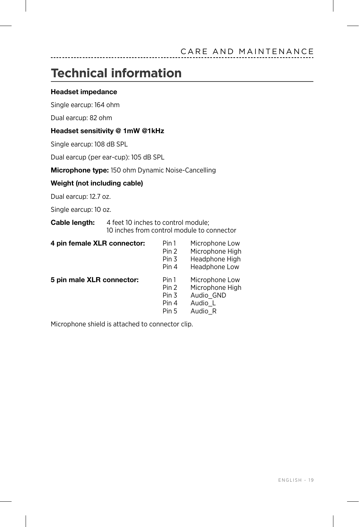## <span id="page-18-0"></span>**Technical information**

#### **Headset impedance**

Single earcup: 164 ohm

Dual earcup: 82 ohm

#### **Headset sensitivity @ 1mW @1kHz**

Single earcup: 108 dB SPL

Dual earcup (per ear-cup): 105 dB SPL

#### **Microphone type:** 150 ohm Dynamic Noise-Cancelling

#### **Weight (not including cable)**

Dual earcup: 12.7 oz.

Single earcup: 10 oz.

| Cable length: | 4 feet 10 inches to control module;        |
|---------------|--------------------------------------------|
|               | 10 inches from control module to connector |

| 4 pin female XLR connector: | Pin 1 | Microphone Low  |
|-----------------------------|-------|-----------------|
|                             | Pin 2 | Microphone High |
|                             | Pin 3 | Headphone High  |
|                             | Pin 4 | Headphone Low   |
| 5 pin male XLR connector:   | Pin 1 | Microphone Low  |
|                             | Pin 2 | Microphone High |
|                             | Pin 3 | Audio GND       |
|                             | Pin 4 | Audio L         |
|                             | Pin 5 | Audio R         |

Microphone shield is attached to connector clip.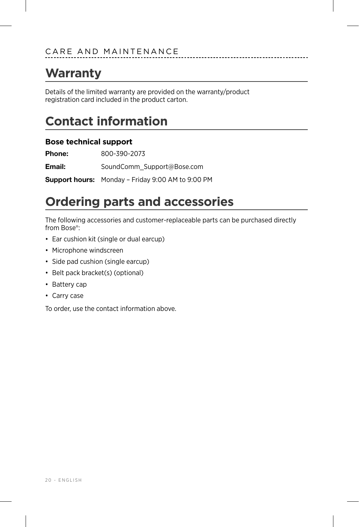## <span id="page-19-1"></span>**Warranty**

Details of the limited warranty are provided on the warranty/product registration card included in the product carton.

## <span id="page-19-0"></span>**Contact information**

#### **Bose technical support**

**Phone:** 800-390-2073

**Email: SoundComm** Support@Bose.com

**Support hours:** Monday – Friday 9:00 AM to 9:00 PM

## **Ordering parts and accessories**

The following accessories and customer-replaceable parts can be purchased directly from Bose®:

- Ear cushion kit (single or dual earcup)
- Microphone windscreen
- Side pad cushion (single earcup)
- Belt pack bracket(s) (optional)
- Battery cap
- Carry case

To order, use the contact information above.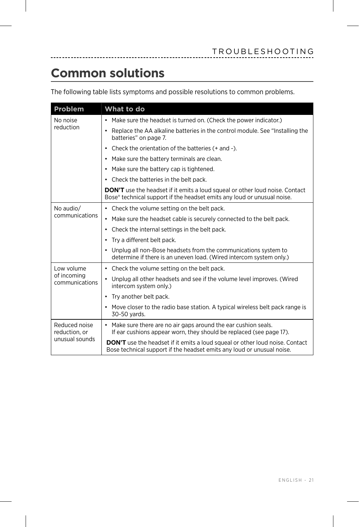## **Common solutions**

<span id="page-20-0"></span>--------

The following table lists symptoms and possible resolutions to common problems.

-------------------

 $\mathbb{R}^2$ 

| <b>Problem</b>                 | What to do                                                                                                                                                     |  |  |  |  |  |  |  |
|--------------------------------|----------------------------------------------------------------------------------------------------------------------------------------------------------------|--|--|--|--|--|--|--|
| No noise                       | Make sure the headset is turned on. (Check the power indicator.)                                                                                               |  |  |  |  |  |  |  |
| reduction                      | Replace the AA alkaline batteries in the control module. See "Installing the<br>batteries" on page 7.                                                          |  |  |  |  |  |  |  |
|                                | Check the orientation of the batteries (+ and -).                                                                                                              |  |  |  |  |  |  |  |
|                                | • Make sure the battery terminals are clean.                                                                                                                   |  |  |  |  |  |  |  |
|                                | • Make sure the battery cap is tightened.                                                                                                                      |  |  |  |  |  |  |  |
|                                | • Check the batteries in the belt pack.                                                                                                                        |  |  |  |  |  |  |  |
|                                | <b>DON'T</b> use the headset if it emits a loud squeal or other loud noise. Contact<br>Bose® technical support if the headset emits any loud or unusual noise. |  |  |  |  |  |  |  |
| No audio/                      | Check the volume setting on the belt pack.                                                                                                                     |  |  |  |  |  |  |  |
| communications                 | • Make sure the headset cable is securely connected to the belt pack.                                                                                          |  |  |  |  |  |  |  |
|                                | • Check the internal settings in the belt pack.                                                                                                                |  |  |  |  |  |  |  |
|                                | • Try a different belt pack.                                                                                                                                   |  |  |  |  |  |  |  |
|                                | • Unplug all non-Bose headsets from the communications system to<br>determine if there is an uneven load. (Wired intercom system only.)                        |  |  |  |  |  |  |  |
| Low volume                     | Check the volume setting on the belt pack.                                                                                                                     |  |  |  |  |  |  |  |
| of incoming<br>communications  | • Unplug all other headsets and see if the volume level improves. (Wired<br>intercom system only.)                                                             |  |  |  |  |  |  |  |
|                                | Try another belt pack.                                                                                                                                         |  |  |  |  |  |  |  |
|                                | • Move closer to the radio base station. A typical wireless belt pack range is<br>30-50 yards.                                                                 |  |  |  |  |  |  |  |
| Reduced noise<br>reduction, or | • Make sure there are no air gaps around the ear cushion seals.<br>If ear cushions appear worn, they should be replaced (see page 17).                         |  |  |  |  |  |  |  |
| unusual sounds                 | <b>DON'T</b> use the headset if it emits a loud squeal or other loud noise. Contact<br>Bose technical support if the headset emits any loud or unusual noise.  |  |  |  |  |  |  |  |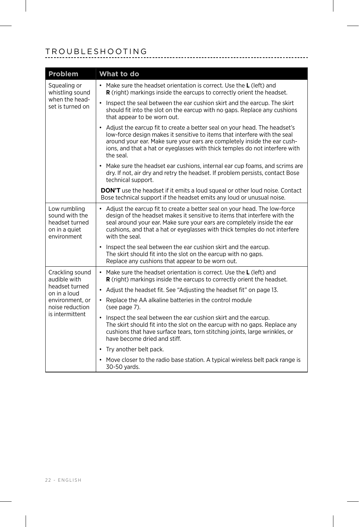#### T roubleshooting

| <b>Problem</b>                                                                   | What to do                                                                                                                                                                                                                                                                                                                          |
|----------------------------------------------------------------------------------|-------------------------------------------------------------------------------------------------------------------------------------------------------------------------------------------------------------------------------------------------------------------------------------------------------------------------------------|
| Squealing or<br>whistling sound                                                  | • Make sure the headset orientation is correct. Use the L (left) and<br><b>R</b> (right) markings inside the earcups to correctly orient the headset.                                                                                                                                                                               |
| when the head-<br>set is turned on                                               | Inspect the seal between the ear cushion skirt and the earcup. The skirt<br>should fit into the slot on the earcup with no gaps. Replace any cushions<br>that appear to be worn out.                                                                                                                                                |
|                                                                                  | • Adjust the earcup fit to create a better seal on your head. The headset's<br>low-force design makes it sensitive to items that interfere with the seal<br>around your ear. Make sure your ears are completely inside the ear cush-<br>ions, and that a hat or eyeglasses with thick temples do not interfere with<br>the seal.    |
|                                                                                  | • Make sure the headset ear cushions, internal ear cup foams, and scrims are<br>dry. If not, air dry and retry the headset. If problem persists, contact Bose<br>technical support.                                                                                                                                                 |
|                                                                                  | <b>DON'T</b> use the headset if it emits a loud squeal or other loud noise. Contact<br>Bose technical support if the headset emits any loud or unusual noise.                                                                                                                                                                       |
| Low rumbling<br>sound with the<br>headset turned<br>on in a quiet<br>environment | • Adjust the earcup fit to create a better seal on your head. The low-force<br>design of the headset makes it sensitive to items that interfere with the<br>seal around your ear. Make sure your ears are completely inside the ear<br>cushions, and that a hat or eyeglasses with thick temples do not interfere<br>with the seal. |
|                                                                                  | • Inspect the seal between the ear cushion skirt and the earcup.<br>The skirt should fit into the slot on the earcup with no gaps.<br>Replace any cushions that appear to be worn out.                                                                                                                                              |
| Crackling sound<br>audible with                                                  | • Make sure the headset orientation is correct. Use the L (left) and<br><b>R</b> (right) markings inside the earcups to correctly orient the headset.                                                                                                                                                                               |
| headset turned<br>on in a loud                                                   | Adjust the headset fit. See "Adjusting the headset fit" on page 13.<br>$\bullet$                                                                                                                                                                                                                                                    |
| environment, or<br>noise reduction                                               | Replace the AA alkaline batteries in the control module<br>(see page 7).                                                                                                                                                                                                                                                            |
| is intermittent                                                                  | • Inspect the seal between the ear cushion skirt and the earcup.<br>The skirt should fit into the slot on the earcup with no gaps. Replace any<br>cushions that have surface tears, torn stitching joints, large wrinkles, or<br>have become dried and stiff.                                                                       |
|                                                                                  | Try another belt pack.                                                                                                                                                                                                                                                                                                              |
|                                                                                  | • Move closer to the radio base station. A typical wireless belt pack range is<br>30-50 yards.                                                                                                                                                                                                                                      |